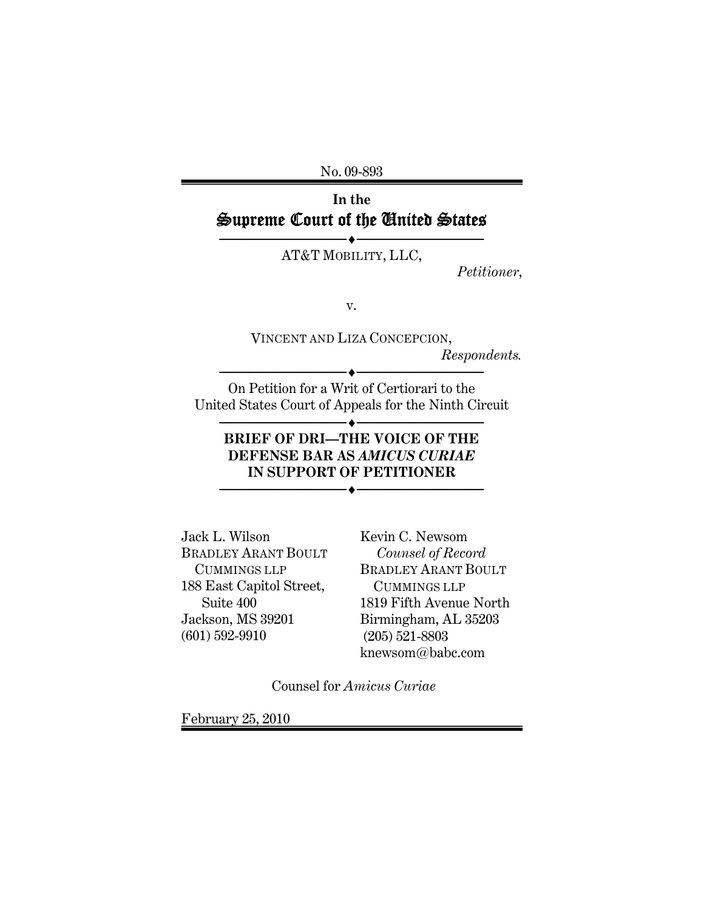No. 09-893

# **In the**  Supreme Court of the United States

──<del>─</del> AT&T MOBILITY, LLC,

*Petitioner*,

v.

VINCENT AND LIZA CONCEPCION, *Respondents.* 

──◆──────────────────────

On Petition for a Writ of Certiorari to the United States Court of Appeals for the Ninth Circuit

──◆────────────────────

## **BRIEF OF DRI—THE VOICE OF THE DEFENSE BAR AS** *AMICUS CURIAE* **IN SUPPORT OF PETITIONER**

──◆─────────────────────

Jack L. Wilson BRADLEY ARANT BOULT CUMMINGS LLP 188 East Capitol Street, Suite 400 Jackson, MS 39201 (601) 592-9910

Kevin C. Newsom  *Counsel of Record*  BRADLEY ARANT BOULT CUMMINGS LLP 1819 Fifth Avenue North Birmingham, AL 35203 (205) 521-8803 knewsom@babc.com

Counsel for *Amicus Curiae*

February 25, 2010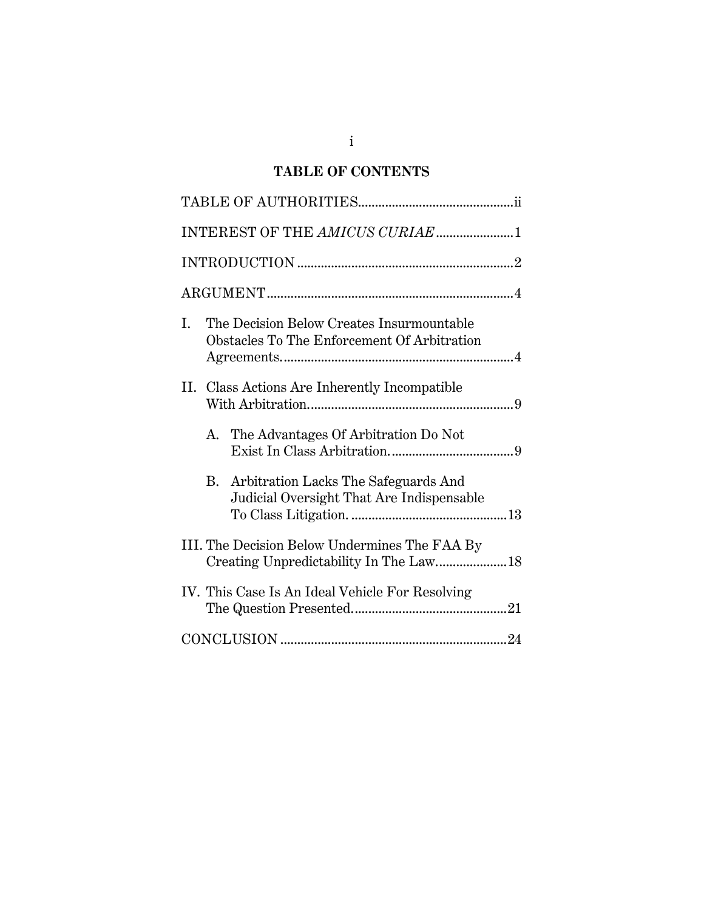## **TABLE OF CONTENTS**

| INTEREST OF THE AMICUS CURIAE 1                                                                |
|------------------------------------------------------------------------------------------------|
|                                                                                                |
|                                                                                                |
| The Decision Below Creates Insurmountable<br>Ι.<br>Obstacles To The Enforcement Of Arbitration |
| II. Class Actions Are Inherently Incompatible                                                  |
| A. The Advantages Of Arbitration Do Not                                                        |
| Arbitration Lacks The Safeguards And<br>B.<br>Judicial Oversight That Are Indispensable        |
| III. The Decision Below Undermines The FAA By<br>Creating Unpredictability In The Law 18       |
| IV. This Case Is An Ideal Vehicle For Resolving                                                |
|                                                                                                |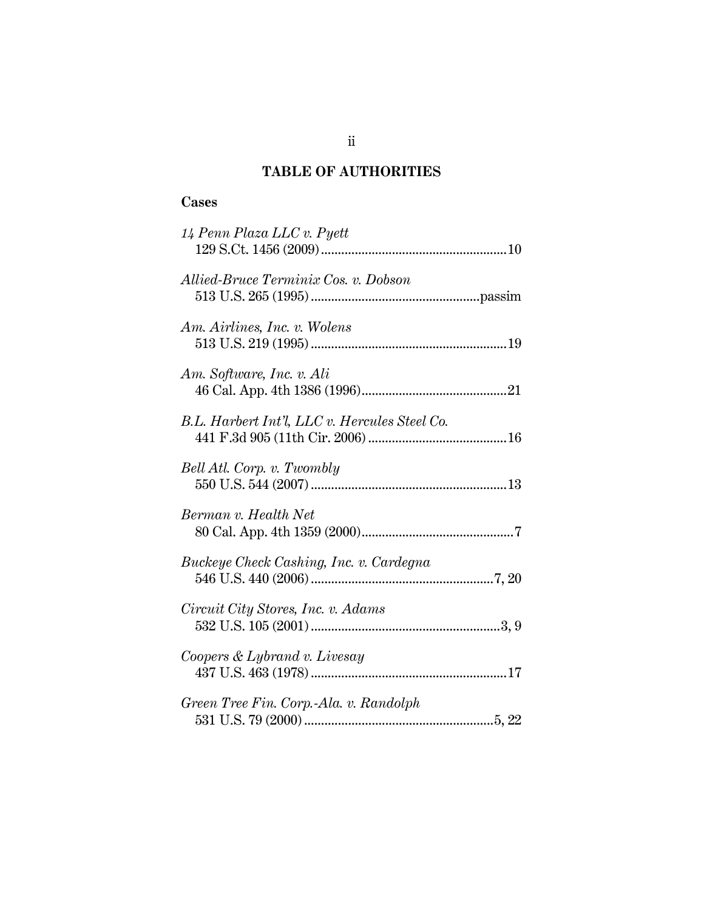## **TABLE OF AUTHORITIES**

## **Cases**

| 14 Penn Plaza LLC v. Pyett                    |
|-----------------------------------------------|
| Allied-Bruce Terminix Cos. v. Dobson          |
| Am. Airlines, Inc. v. Wolens                  |
| Am. Software, Inc. v. Ali                     |
| B.L. Harbert Int'l, LLC v. Hercules Steel Co. |
| Bell Atl. Corp. v. Twombly                    |
| Berman v. Health Net                          |
| Buckeye Check Cashing, Inc. v. Cardegna       |
| Circuit City Stores, Inc. v. Adams            |
| Coopers & Lybrand v. Livesay                  |
| Green Tree Fin. Corp.-Ala. v. Randolph        |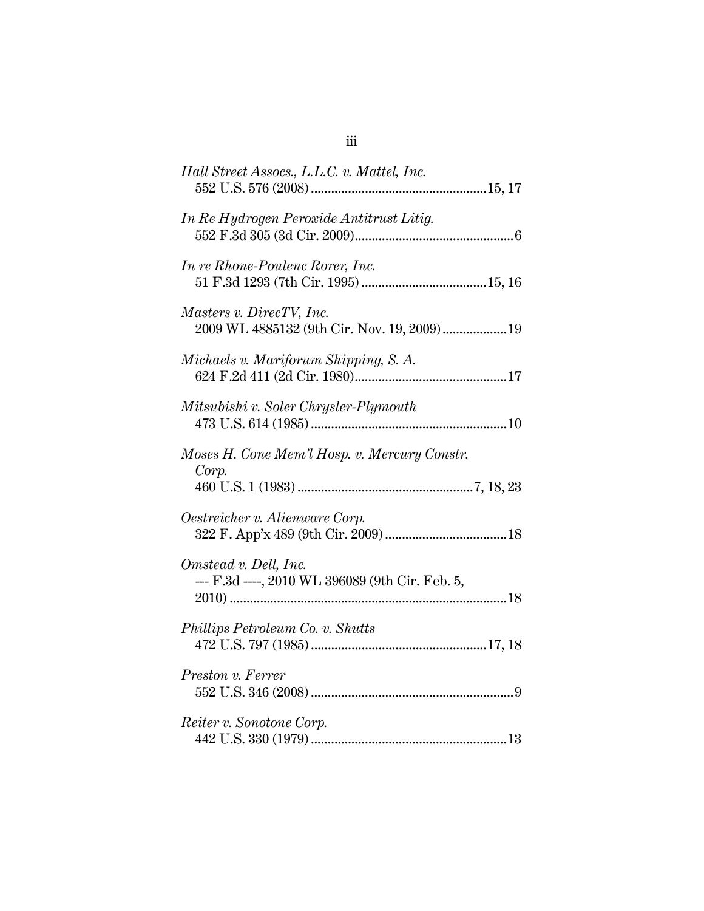| Hall Street Assocs., L.L.C. v. Mattel, Inc.                              |
|--------------------------------------------------------------------------|
| In Re Hydrogen Peroxide Antitrust Litig.                                 |
| In re Rhone-Poulenc Rorer, Inc.                                          |
| Masters v. DirecTV, Inc.<br>2009 WL 4885132 (9th Cir. Nov. 19, 2009)  19 |
| Michaels v. Mariforum Shipping, S. A.                                    |
| Mitsubishi v. Soler Chrysler-Plymouth                                    |
| Moses H. Cone Mem'l Hosp. v. Mercury Constr.<br>Corp.                    |
| Oestreicher v. Alienware Corp.                                           |
| Omstead v. Dell, Inc.<br>--- F.3d ----, 2010 WL 396089 (9th Cir. Feb. 5, |
| Phillips Petroleum Co. v. Shutts                                         |
| Preston v. Ferrer                                                        |
| Reiter v. Sonotone Corp.                                                 |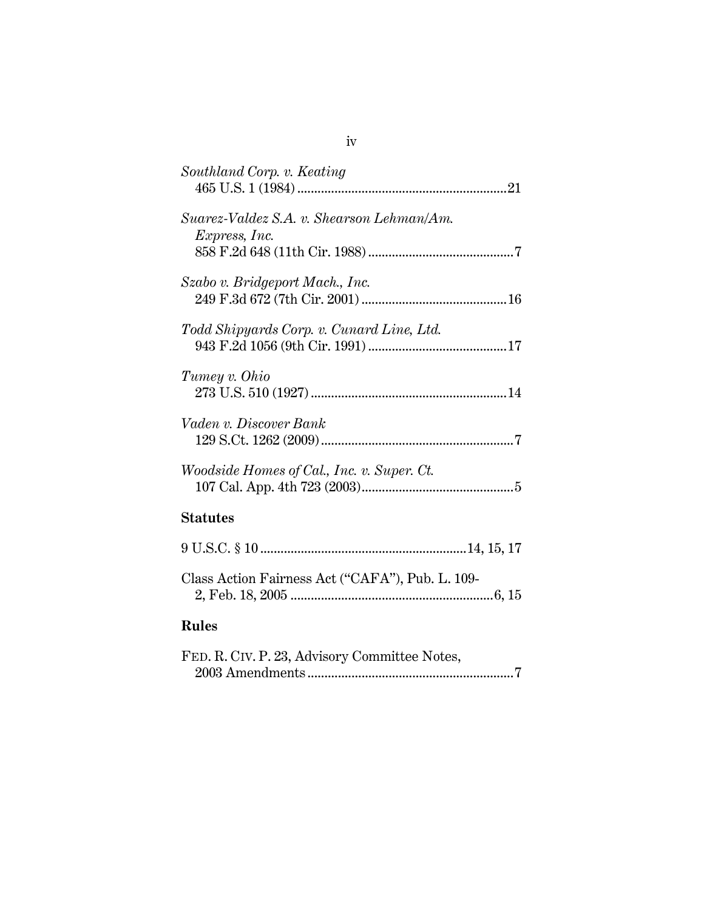| Southland Corp. v. Keating                       |
|--------------------------------------------------|
| Suarez-Valdez S.A. v. Shearson Lehman/Am.        |
| <i>Express, Inc.</i>                             |
|                                                  |
| Szabo v. Bridgeport Mach., Inc.                  |
|                                                  |
| Todd Shipyards Corp. v. Cunard Line, Ltd.        |
|                                                  |
|                                                  |
| Tumey v. Ohio                                    |
|                                                  |
| Vaden v. Discover Bank                           |
|                                                  |
| Woodside Homes of Cal., Inc. v. Super. Ct.       |
|                                                  |
|                                                  |
| <b>Statutes</b>                                  |
|                                                  |
| Class Action Fairness Act ("CAFA"), Pub. L. 109- |
|                                                  |
| <b>Rules</b>                                     |

| FED. R. CIV. P. 23, Advisory Committee Notes, |  |
|-----------------------------------------------|--|
|                                               |  |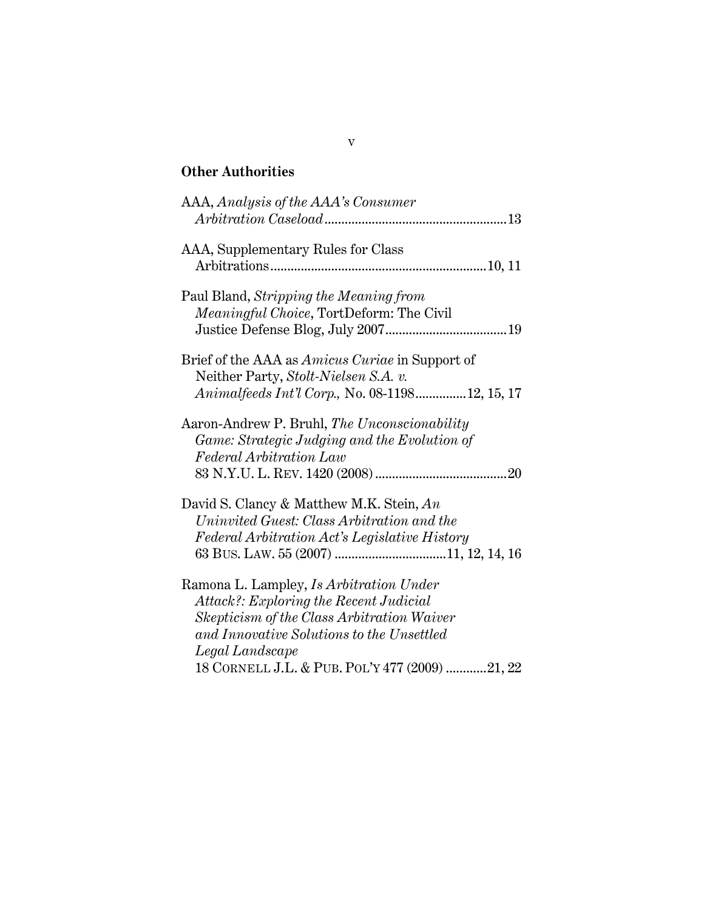# **Other Authorities**

| AAA, Analysis of the AAA's Consumer                                                                                                                                                                                                               |
|---------------------------------------------------------------------------------------------------------------------------------------------------------------------------------------------------------------------------------------------------|
| AAA, Supplementary Rules for Class                                                                                                                                                                                                                |
| Paul Bland, Stripping the Meaning from<br>Meaningful Choice, TortDeform: The Civil                                                                                                                                                                |
| Brief of the AAA as <i>Amicus Curiae</i> in Support of<br>Neither Party, Stolt-Nielsen S.A. v.<br>Animalfeeds Int'l Corp., No. 08-119812, 15, 17                                                                                                  |
| Aaron-Andrew P. Bruhl, The Unconscionability<br>Game: Strategic Judging and the Evolution of<br>Federal Arbitration Law                                                                                                                           |
| David S. Clancy & Matthew M.K. Stein, An<br>Uninvited Guest: Class Arbitration and the<br>Federal Arbitration Act's Legislative History                                                                                                           |
| Ramona L. Lampley, Is Arbitration Under<br>Attack?: Exploring the Recent Judicial<br>Skepticism of the Class Arbitration Waiver<br>and Innovative Solutions to the Unsettled<br>Legal Landscape<br>18 CORNELL J.L. & PUB. POL'Y 477 (2009) 21, 22 |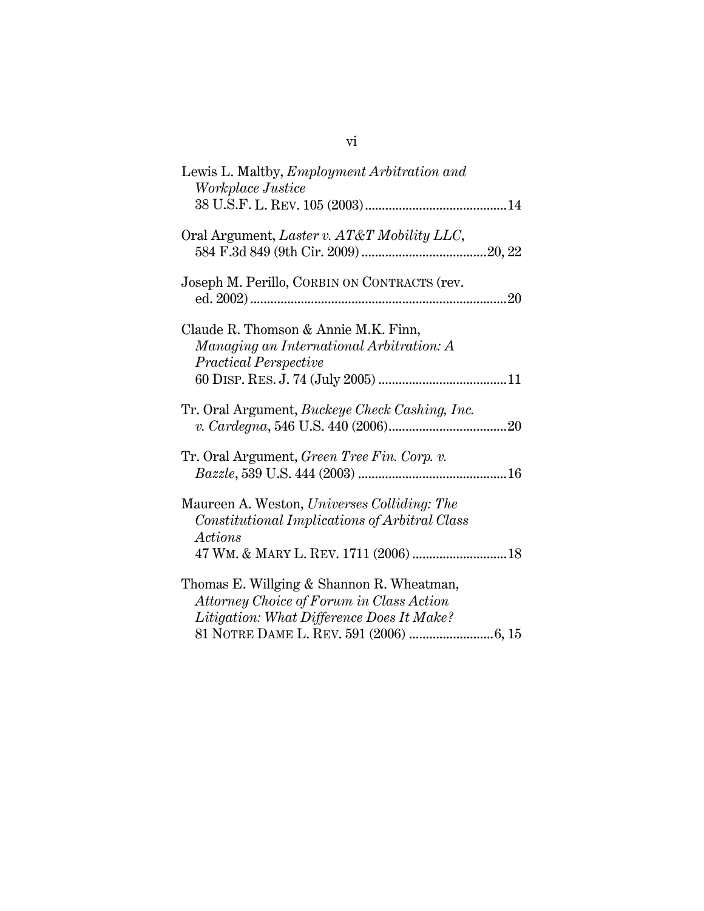| Lewis L. Maltby, <i>Employment Arbitration and</i><br>Workplace Justice                                                            |
|------------------------------------------------------------------------------------------------------------------------------------|
| Oral Argument, Laster v. AT&T Mobility LLC,                                                                                        |
| Joseph M. Perillo, CORBIN ON CONTRACTS (rev.                                                                                       |
| Claude R. Thomson & Annie M.K. Finn,<br>Managing an International Arbitration: A<br><b>Practical Perspective</b>                   |
| Tr. Oral Argument, Buckeye Check Cashing, Inc.                                                                                     |
| Tr. Oral Argument, Green Tree Fin. Corp. v.                                                                                        |
| Maureen A. Weston, Universes Colliding: The<br>Constitutional Implications of Arbitral Class<br>Actions                            |
| Thomas E. Willging & Shannon R. Wheatman,<br>Attorney Choice of Forum in Class Action<br>Litigation: What Difference Does It Make? |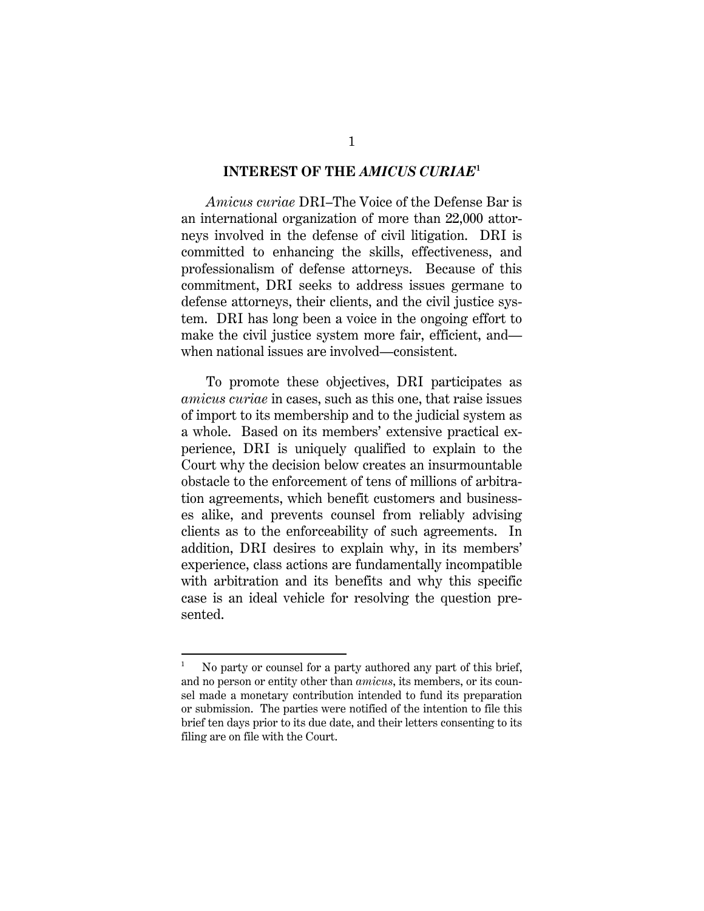#### **INTEREST OF THE** *AMICUS CURIAE***<sup>1</sup>**

*Amicus curiae* DRI–The Voice of the Defense Bar is an international organization of more than 22,000 attorneys involved in the defense of civil litigation. DRI is committed to enhancing the skills, effectiveness, and professionalism of defense attorneys. Because of this commitment, DRI seeks to address issues germane to defense attorneys, their clients, and the civil justice system. DRI has long been a voice in the ongoing effort to make the civil justice system more fair, efficient, and when national issues are involved—consistent.

To promote these objectives, DRI participates as *amicus curiae* in cases, such as this one, that raise issues of import to its membership and to the judicial system as a whole. Based on its members' extensive practical experience, DRI is uniquely qualified to explain to the Court why the decision below creates an insurmountable obstacle to the enforcement of tens of millions of arbitration agreements, which benefit customers and businesses alike, and prevents counsel from reliably advising clients as to the enforceability of such agreements. In addition, DRI desires to explain why, in its members' experience, class actions are fundamentally incompatible with arbitration and its benefits and why this specific case is an ideal vehicle for resolving the question presented.

l

<sup>1</sup> No party or counsel for a party authored any part of this brief, and no person or entity other than *amicus*, its members, or its counsel made a monetary contribution intended to fund its preparation or submission. The parties were notified of the intention to file this brief ten days prior to its due date, and their letters consenting to its filing are on file with the Court.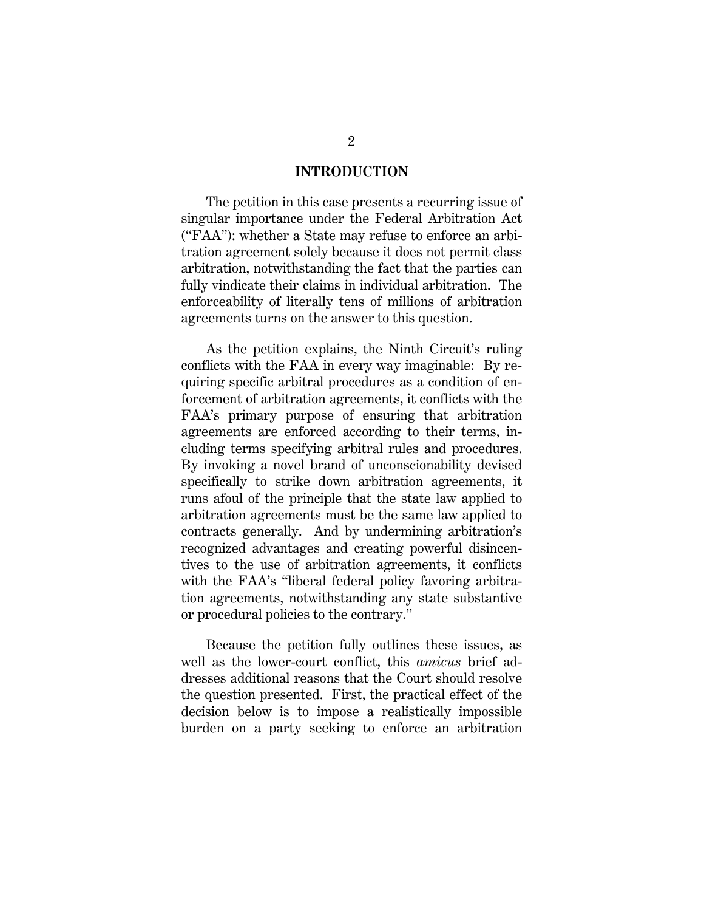#### **INTRODUCTION**

The petition in this case presents a recurring issue of singular importance under the Federal Arbitration Act ("FAA"): whether a State may refuse to enforce an arbitration agreement solely because it does not permit class arbitration, notwithstanding the fact that the parties can fully vindicate their claims in individual arbitration. The enforceability of literally tens of millions of arbitration agreements turns on the answer to this question.

As the petition explains, the Ninth Circuit's ruling conflicts with the FAA in every way imaginable: By requiring specific arbitral procedures as a condition of enforcement of arbitration agreements, it conflicts with the FAA's primary purpose of ensuring that arbitration agreements are enforced according to their terms, including terms specifying arbitral rules and procedures. By invoking a novel brand of unconscionability devised specifically to strike down arbitration agreements, it runs afoul of the principle that the state law applied to arbitration agreements must be the same law applied to contracts generally. And by undermining arbitration's recognized advantages and creating powerful disincentives to the use of arbitration agreements, it conflicts with the FAA's "liberal federal policy favoring arbitration agreements, notwithstanding any state substantive or procedural policies to the contrary."

Because the petition fully outlines these issues, as well as the lower-court conflict, this *amicus* brief addresses additional reasons that the Court should resolve the question presented. First, the practical effect of the decision below is to impose a realistically impossible burden on a party seeking to enforce an arbitration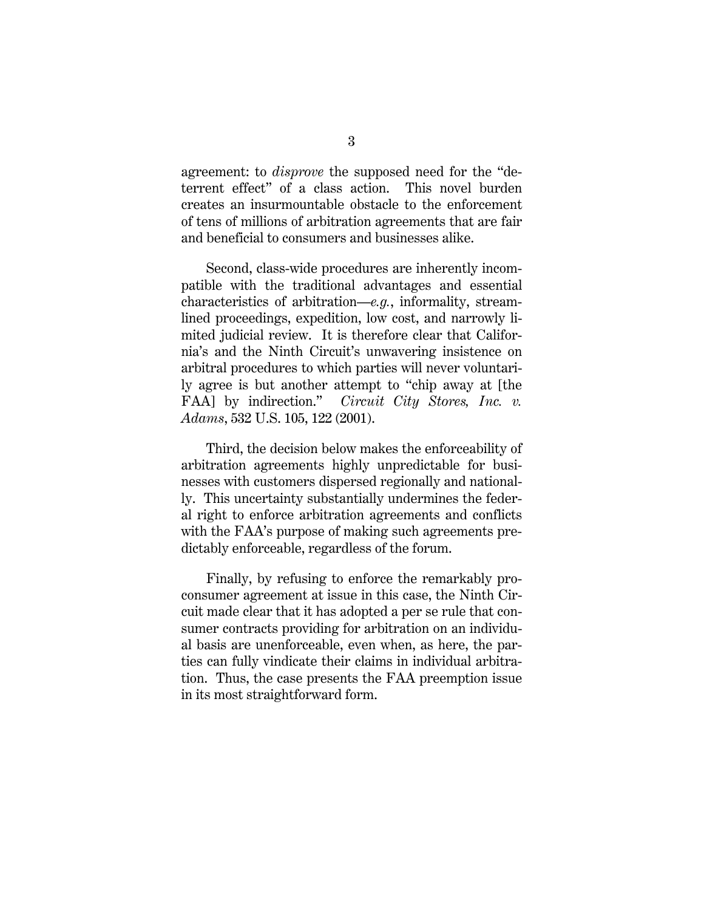agreement: to *disprove* the supposed need for the "deterrent effect" of a class action. This novel burden creates an insurmountable obstacle to the enforcement of tens of millions of arbitration agreements that are fair and beneficial to consumers and businesses alike.

Second, class-wide procedures are inherently incompatible with the traditional advantages and essential characteristics of arbitration—*e.g.*, informality, streamlined proceedings, expedition, low cost, and narrowly limited judicial review. It is therefore clear that California's and the Ninth Circuit's unwavering insistence on arbitral procedures to which parties will never voluntarily agree is but another attempt to "chip away at [the FAA] by indirection." *Circuit City Stores, Inc. v. Adams*, 532 U.S. 105, 122 (2001).

Third, the decision below makes the enforceability of arbitration agreements highly unpredictable for businesses with customers dispersed regionally and nationally. This uncertainty substantially undermines the federal right to enforce arbitration agreements and conflicts with the FAA's purpose of making such agreements predictably enforceable, regardless of the forum.

Finally, by refusing to enforce the remarkably proconsumer agreement at issue in this case, the Ninth Circuit made clear that it has adopted a per se rule that consumer contracts providing for arbitration on an individual basis are unenforceable, even when, as here, the parties can fully vindicate their claims in individual arbitration. Thus, the case presents the FAA preemption issue in its most straightforward form.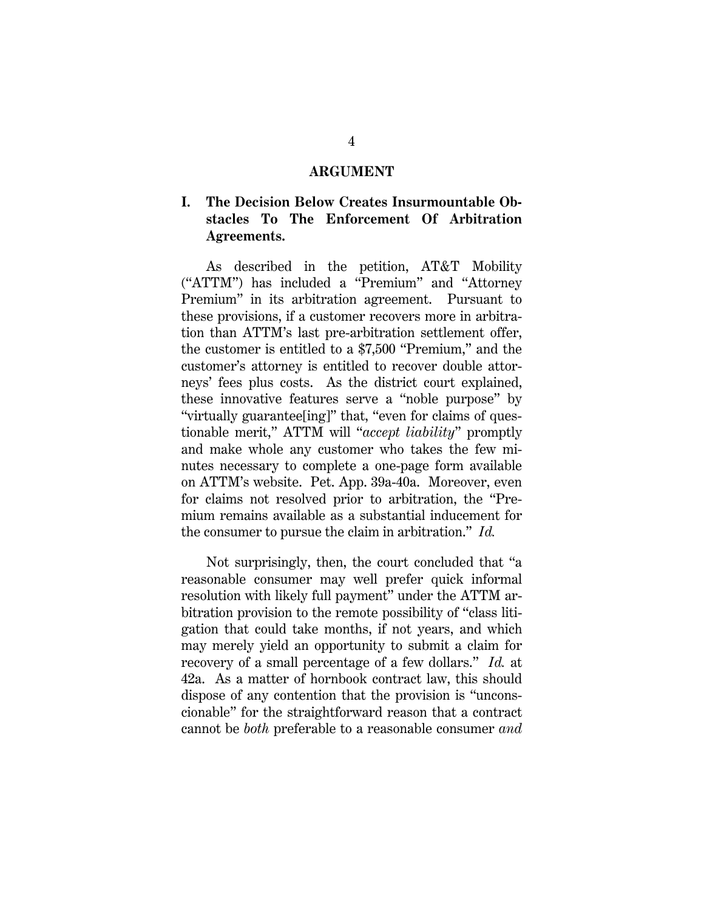#### **ARGUMENT**

## **I. The Decision Below Creates Insurmountable Obstacles To The Enforcement Of Arbitration Agreements.**

As described in the petition, AT&T Mobility ("ATTM") has included a "Premium" and "Attorney Premium" in its arbitration agreement. Pursuant to these provisions, if a customer recovers more in arbitration than ATTM's last pre-arbitration settlement offer, the customer is entitled to a \$7,500 "Premium," and the customer's attorney is entitled to recover double attorneys' fees plus costs. As the district court explained, these innovative features serve a "noble purpose" by "virtually guarantee[ing]" that, "even for claims of questionable merit," ATTM will "*accept liability*" promptly and make whole any customer who takes the few minutes necessary to complete a one-page form available on ATTM's website. Pet. App. 39a-40a. Moreover, even for claims not resolved prior to arbitration, the "Premium remains available as a substantial inducement for the consumer to pursue the claim in arbitration." *Id.*

Not surprisingly, then, the court concluded that "a reasonable consumer may well prefer quick informal resolution with likely full payment" under the ATTM arbitration provision to the remote possibility of "class litigation that could take months, if not years, and which may merely yield an opportunity to submit a claim for recovery of a small percentage of a few dollars." *Id.* at 42a. As a matter of hornbook contract law, this should dispose of any contention that the provision is "unconscionable" for the straightforward reason that a contract cannot be *both* preferable to a reasonable consumer *and*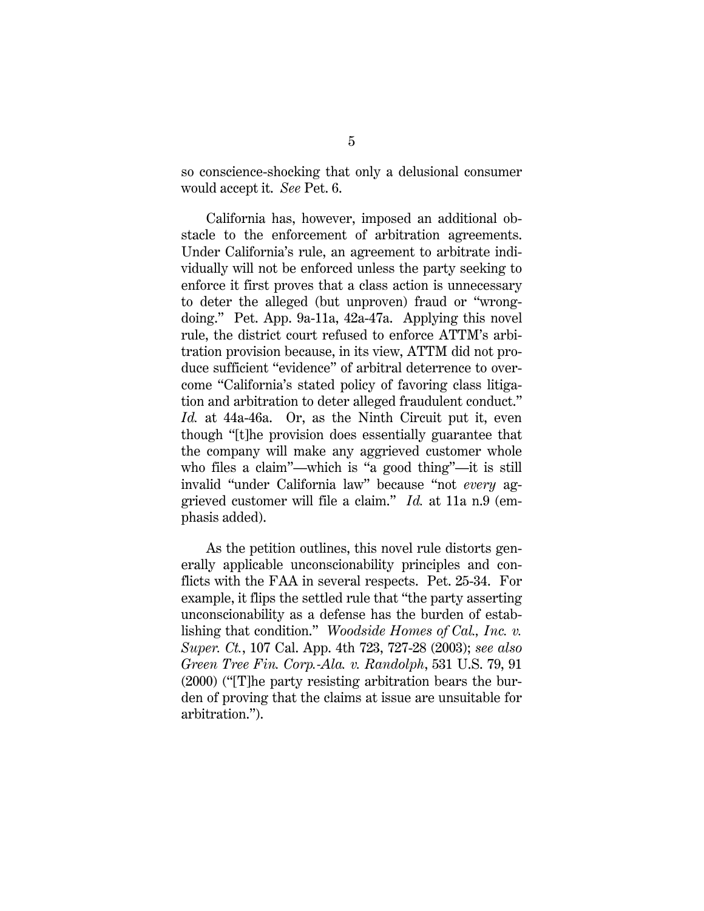so conscience-shocking that only a delusional consumer would accept it. *See* Pet. 6.

California has, however, imposed an additional obstacle to the enforcement of arbitration agreements. Under California's rule, an agreement to arbitrate individually will not be enforced unless the party seeking to enforce it first proves that a class action is unnecessary to deter the alleged (but unproven) fraud or "wrongdoing." Pet. App. 9a-11a, 42a-47a. Applying this novel rule, the district court refused to enforce ATTM's arbitration provision because, in its view, ATTM did not produce sufficient "evidence" of arbitral deterrence to overcome "California's stated policy of favoring class litigation and arbitration to deter alleged fraudulent conduct." *Id.* at 44a-46a. Or, as the Ninth Circuit put it, even though "[t]he provision does essentially guarantee that the company will make any aggrieved customer whole who files a claim"—which is "a good thing"—it is still invalid "under California law" because "not *every* aggrieved customer will file a claim." *Id.* at 11a n.9 (emphasis added).

As the petition outlines, this novel rule distorts generally applicable unconscionability principles and conflicts with the FAA in several respects. Pet. 25-34. For example, it flips the settled rule that "the party asserting unconscionability as a defense has the burden of establishing that condition." *Woodside Homes of Cal., Inc. v. Super. Ct.*, 107 Cal. App. 4th 723, 727-28 (2003); *see also Green Tree Fin. Corp.-Ala. v. Randolph*, 531 U.S. 79, 91 (2000) ("[T]he party resisting arbitration bears the burden of proving that the claims at issue are unsuitable for arbitration.").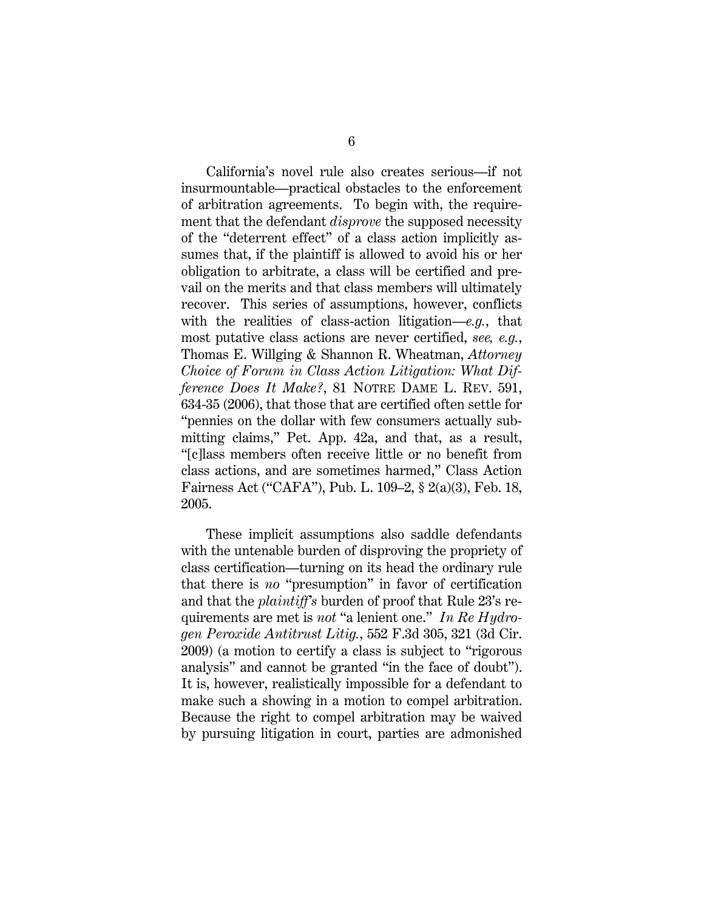California's novel rule also creates serious—if not insurmountable—practical obstacles to the enforcement of arbitration agreements. To begin with, the requirement that the defendant *disprove* the supposed necessity of the "deterrent effect" of a class action implicitly assumes that, if the plaintiff is allowed to avoid his or her obligation to arbitrate, a class will be certified and prevail on the merits and that class members will ultimately recover. This series of assumptions, however, conflicts with the realities of class-action litigation—*e.g.*, that most putative class actions are never certified, *see, e.g.*, Thomas E. Willging & Shannon R. Wheatman, *Attorney Choice of Forum in Class Action Litigation: What Difference Does It Make?*, 81 NOTRE DAME L. REV. 591, 634-35 (2006), that those that are certified often settle for "pennies on the dollar with few consumers actually submitting claims," Pet. App. 42a, and that, as a result, "[c]lass members often receive little or no benefit from class actions, and are sometimes harmed," Class Action Fairness Act ("CAFA"), Pub. L. 109–2, § 2(a)(3), Feb. 18, 2005.

These implicit assumptions also saddle defendants with the untenable burden of disproving the propriety of class certification—turning on its head the ordinary rule that there is *no* "presumption" in favor of certification and that the *plaintiff's* burden of proof that Rule 23's requirements are met is *not* "a lenient one." *In Re Hydrogen Peroxide Antitrust Litig.*, 552 F.3d 305, 321 (3d Cir. 2009) (a motion to certify a class is subject to "rigorous analysis" and cannot be granted "in the face of doubt"). It is, however, realistically impossible for a defendant to make such a showing in a motion to compel arbitration. Because the right to compel arbitration may be waived by pursuing litigation in court, parties are admonished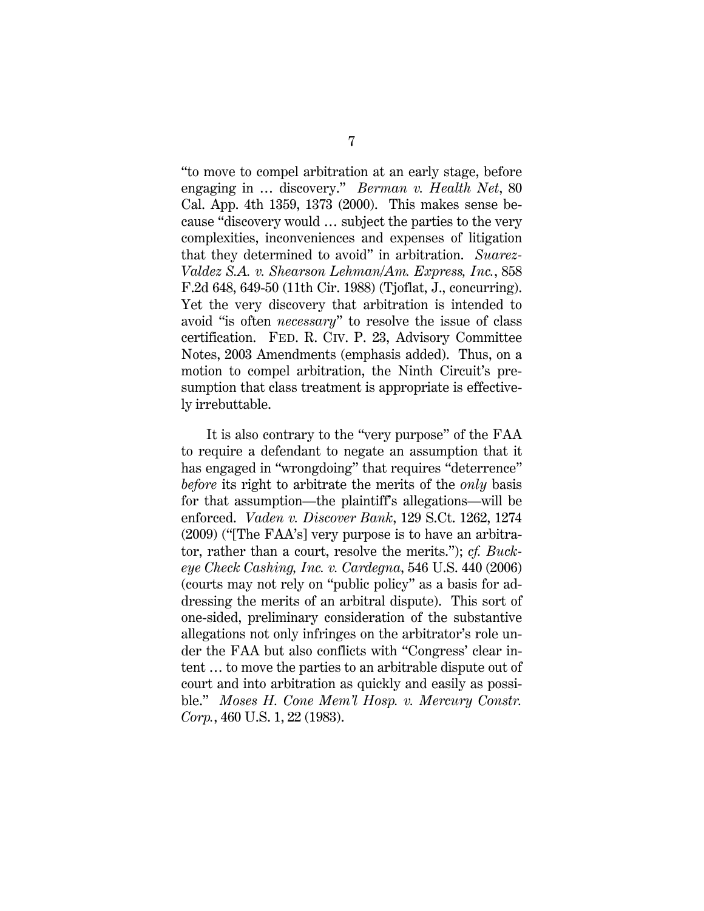"to move to compel arbitration at an early stage, before engaging in … discovery." *Berman v. Health Net*, 80 Cal. App. 4th 1359, 1373 (2000). This makes sense because "discovery would … subject the parties to the very complexities, inconveniences and expenses of litigation that they determined to avoid" in arbitration. *Suarez-Valdez S.A. v. Shearson Lehman/Am. Express, Inc.*, 858 F.2d 648, 649-50 (11th Cir. 1988) (Tjoflat, J., concurring). Yet the very discovery that arbitration is intended to avoid "is often *necessary*" to resolve the issue of class certification. FED. R. CIV. P. 23, Advisory Committee Notes, 2003 Amendments (emphasis added). Thus, on a motion to compel arbitration, the Ninth Circuit's presumption that class treatment is appropriate is effectively irrebuttable.

It is also contrary to the "very purpose" of the FAA to require a defendant to negate an assumption that it has engaged in "wrongdoing" that requires "deterrence" *before* its right to arbitrate the merits of the *only* basis for that assumption—the plaintiff's allegations—will be enforced. *Vaden v. Discover Bank*, 129 S.Ct. 1262, 1274 (2009) ("[The FAA's] very purpose is to have an arbitrator, rather than a court, resolve the merits."); *cf. Buckeye Check Cashing, Inc. v. Cardegna*, 546 U.S. 440 (2006) (courts may not rely on "public policy" as a basis for addressing the merits of an arbitral dispute). This sort of one-sided, preliminary consideration of the substantive allegations not only infringes on the arbitrator's role under the FAA but also conflicts with "Congress' clear intent … to move the parties to an arbitrable dispute out of court and into arbitration as quickly and easily as possible." *Moses H. Cone Mem'l Hosp. v. Mercury Constr. Corp.*, 460 U.S. 1, 22 (1983).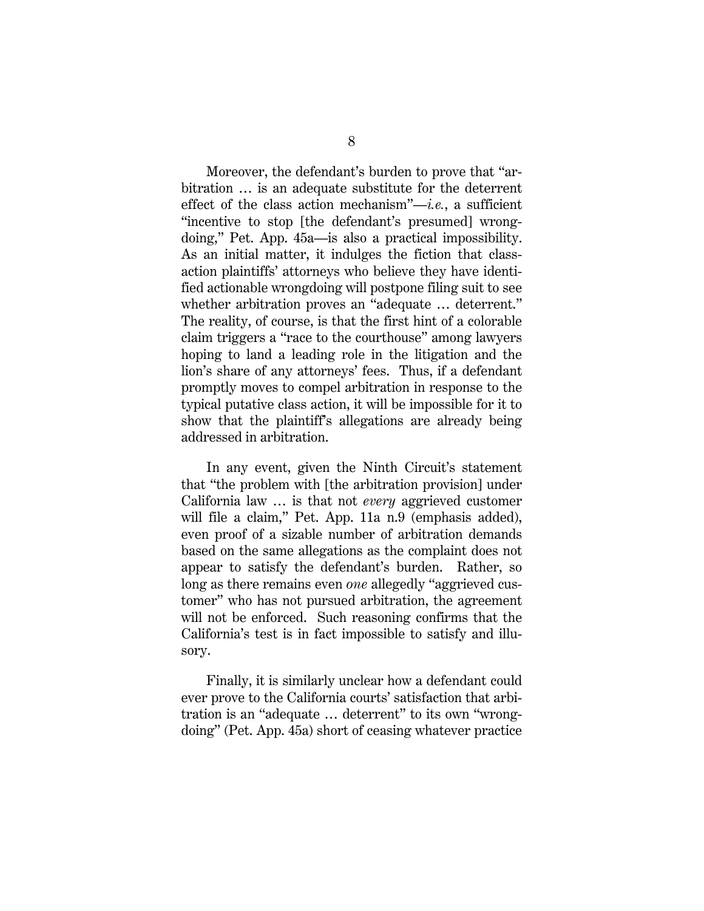Moreover, the defendant's burden to prove that "arbitration … is an adequate substitute for the deterrent effect of the class action mechanism"—*i.e.*, a sufficient "incentive to stop [the defendant's presumed] wrongdoing," Pet. App. 45a—is also a practical impossibility. As an initial matter, it indulges the fiction that classaction plaintiffs' attorneys who believe they have identified actionable wrongdoing will postpone filing suit to see whether arbitration proves an "adequate … deterrent." The reality, of course, is that the first hint of a colorable claim triggers a "race to the courthouse" among lawyers hoping to land a leading role in the litigation and the lion's share of any attorneys' fees. Thus, if a defendant promptly moves to compel arbitration in response to the typical putative class action, it will be impossible for it to show that the plaintiff's allegations are already being addressed in arbitration.

In any event, given the Ninth Circuit's statement that "the problem with [the arbitration provision] under California law … is that not *every* aggrieved customer will file a claim," Pet. App. 11a n.9 (emphasis added), even proof of a sizable number of arbitration demands based on the same allegations as the complaint does not appear to satisfy the defendant's burden. Rather, so long as there remains even *one* allegedly "aggrieved customer" who has not pursued arbitration, the agreement will not be enforced. Such reasoning confirms that the California's test is in fact impossible to satisfy and illusory.

Finally, it is similarly unclear how a defendant could ever prove to the California courts' satisfaction that arbitration is an "adequate … deterrent" to its own "wrongdoing" (Pet. App. 45a) short of ceasing whatever practice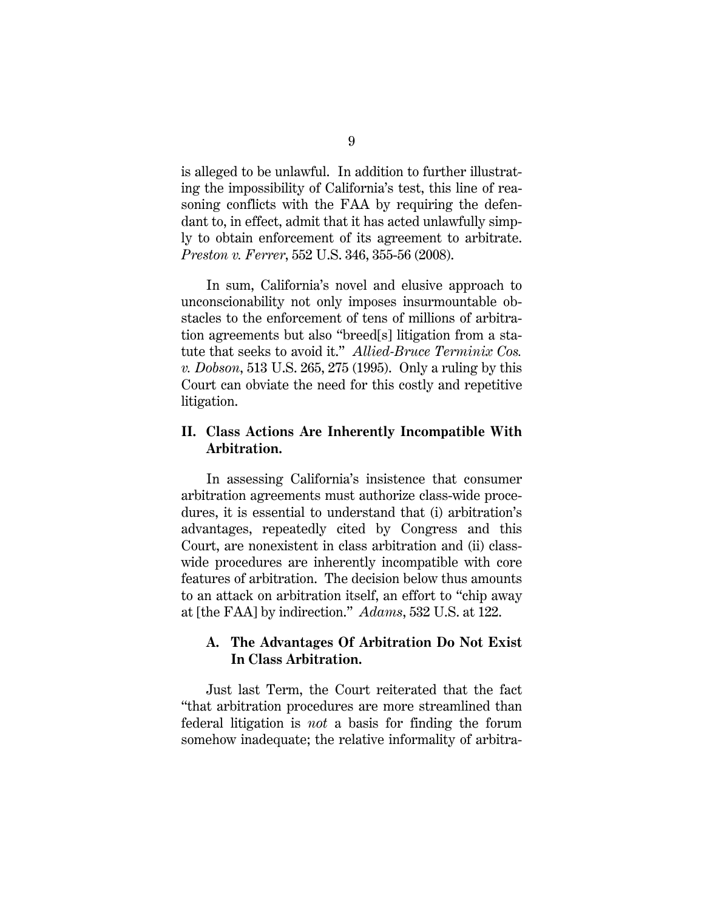is alleged to be unlawful. In addition to further illustrating the impossibility of California's test, this line of reasoning conflicts with the FAA by requiring the defendant to, in effect, admit that it has acted unlawfully simply to obtain enforcement of its agreement to arbitrate. *Preston v. Ferrer*, 552 U.S. 346, 355-56 (2008).

In sum, California's novel and elusive approach to unconscionability not only imposes insurmountable obstacles to the enforcement of tens of millions of arbitration agreements but also "breed[s] litigation from a statute that seeks to avoid it." *Allied-Bruce Terminix Cos. v. Dobson*, 513 U.S. 265, 275 (1995). Only a ruling by this Court can obviate the need for this costly and repetitive litigation.

### **II. Class Actions Are Inherently Incompatible With Arbitration.**

In assessing California's insistence that consumer arbitration agreements must authorize class-wide procedures, it is essential to understand that (i) arbitration's advantages, repeatedly cited by Congress and this Court, are nonexistent in class arbitration and (ii) classwide procedures are inherently incompatible with core features of arbitration. The decision below thus amounts to an attack on arbitration itself, an effort to "chip away at [the FAA] by indirection." *Adams*, 532 U.S. at 122.

## **A. The Advantages Of Arbitration Do Not Exist In Class Arbitration.**

Just last Term, the Court reiterated that the fact "that arbitration procedures are more streamlined than federal litigation is *not* a basis for finding the forum somehow inadequate; the relative informality of arbitra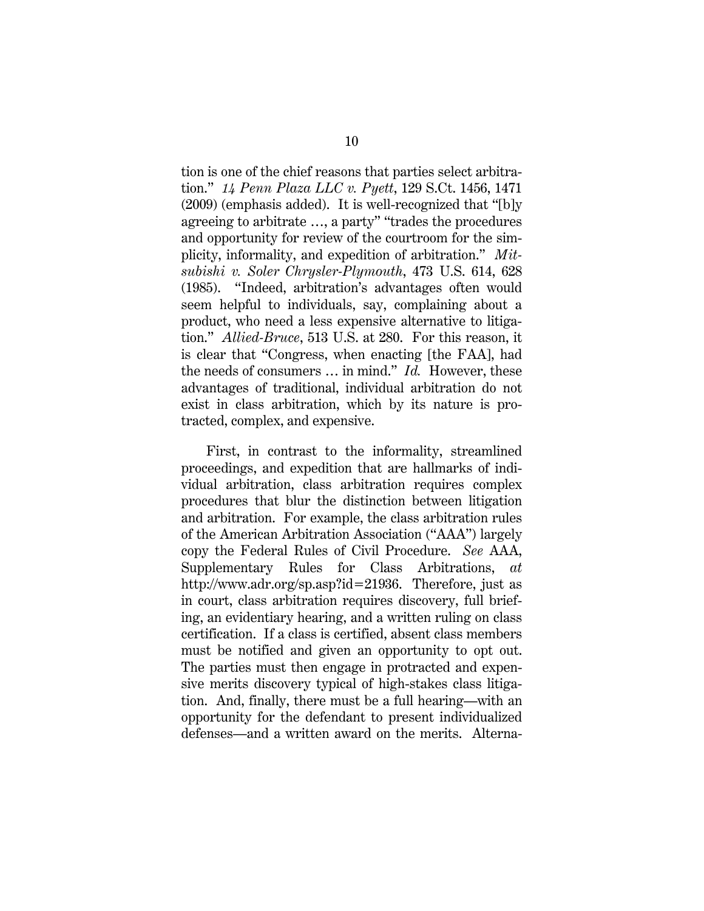tion is one of the chief reasons that parties select arbitration." *14 Penn Plaza LLC v. Pyett*, 129 S.Ct. 1456, 1471 (2009) (emphasis added). It is well-recognized that "[b]y agreeing to arbitrate …, a party" "trades the procedures and opportunity for review of the courtroom for the simplicity, informality, and expedition of arbitration." *Mitsubishi v. Soler Chrysler-Plymouth*, 473 U.S. 614, 628 (1985). "Indeed, arbitration's advantages often would seem helpful to individuals, say, complaining about a product, who need a less expensive alternative to litigation." *Allied-Bruce*, 513 U.S. at 280. For this reason, it is clear that "Congress, when enacting [the FAA], had the needs of consumers … in mind." *Id.* However, these advantages of traditional, individual arbitration do not exist in class arbitration, which by its nature is protracted, complex, and expensive.

First, in contrast to the informality, streamlined proceedings, and expedition that are hallmarks of individual arbitration, class arbitration requires complex procedures that blur the distinction between litigation and arbitration. For example, the class arbitration rules of the American Arbitration Association ("AAA") largely copy the Federal Rules of Civil Procedure. *See* AAA, Supplementary Rules for Class Arbitrations, *at* http://www.adr.org/sp.asp?id=21936. Therefore, just as in court, class arbitration requires discovery, full briefing, an evidentiary hearing, and a written ruling on class certification. If a class is certified, absent class members must be notified and given an opportunity to opt out. The parties must then engage in protracted and expensive merits discovery typical of high-stakes class litigation. And, finally, there must be a full hearing—with an opportunity for the defendant to present individualized defenses—and a written award on the merits. Alterna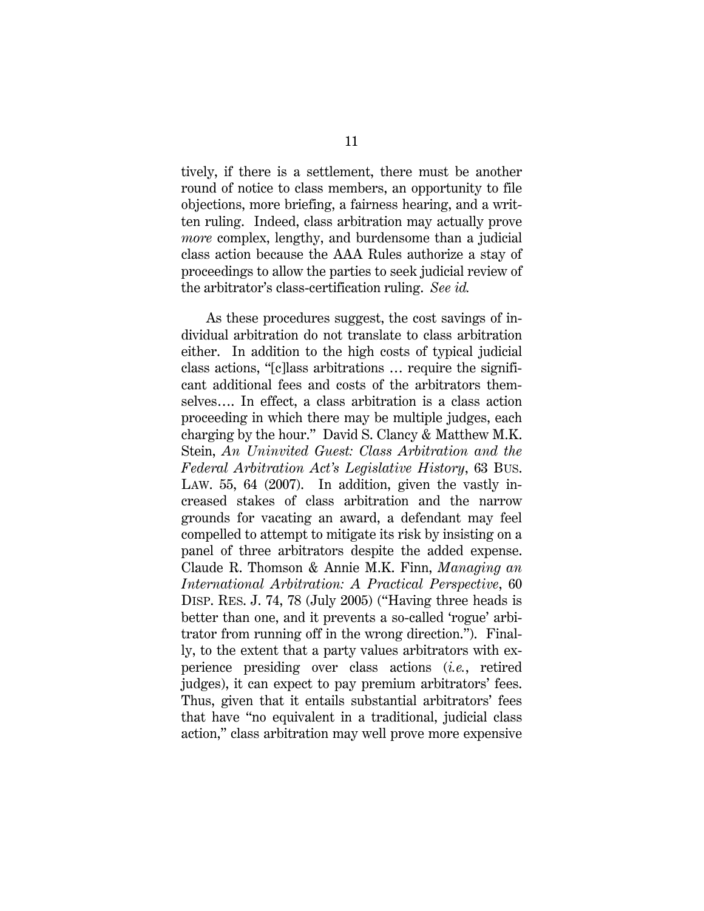tively, if there is a settlement, there must be another round of notice to class members, an opportunity to file objections, more briefing, a fairness hearing, and a written ruling. Indeed, class arbitration may actually prove *more* complex, lengthy, and burdensome than a judicial class action because the AAA Rules authorize a stay of proceedings to allow the parties to seek judicial review of the arbitrator's class-certification ruling. *See id.*

As these procedures suggest, the cost savings of individual arbitration do not translate to class arbitration either. In addition to the high costs of typical judicial class actions, "[c]lass arbitrations … require the significant additional fees and costs of the arbitrators themselves…. In effect, a class arbitration is a class action proceeding in which there may be multiple judges, each charging by the hour." David S. Clancy & Matthew M.K. Stein, *An Uninvited Guest: Class Arbitration and the Federal Arbitration Act's Legislative History*, 63 BUS. LAW. 55, 64 (2007). In addition, given the vastly increased stakes of class arbitration and the narrow grounds for vacating an award, a defendant may feel compelled to attempt to mitigate its risk by insisting on a panel of three arbitrators despite the added expense. Claude R. Thomson & Annie M.K. Finn, *Managing an International Arbitration: A Practical Perspective*, 60 DISP. RES. J. 74, 78 (July 2005) ("Having three heads is better than one, and it prevents a so-called 'rogue' arbitrator from running off in the wrong direction."). Finally, to the extent that a party values arbitrators with experience presiding over class actions (*i.e.*, retired judges), it can expect to pay premium arbitrators' fees. Thus, given that it entails substantial arbitrators' fees that have "no equivalent in a traditional, judicial class action," class arbitration may well prove more expensive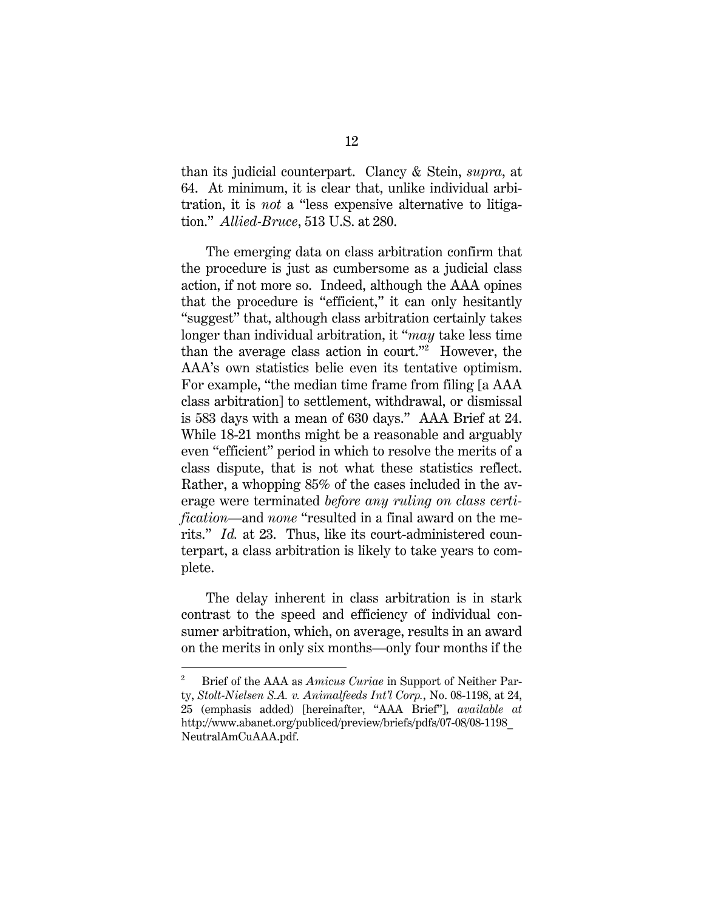than its judicial counterpart. Clancy & Stein, *supra*, at 64.At minimum, it is clear that, unlike individual arbitration, it is *not* a "less expensive alternative to litigation." *Allied-Bruce*, 513 U.S. at 280.

The emerging data on class arbitration confirm that the procedure is just as cumbersome as a judicial class action, if not more so. Indeed, although the AAA opines that the procedure is "efficient," it can only hesitantly "suggest" that, although class arbitration certainly takes longer than individual arbitration, it "*may* take less time than the average class action in court."2 However, the AAA's own statistics belie even its tentative optimism. For example, "the median time frame from filing [a AAA class arbitration] to settlement, withdrawal, or dismissal is 583 days with a mean of 630 days." AAA Brief at 24. While 18-21 months might be a reasonable and arguably even "efficient" period in which to resolve the merits of a class dispute, that is not what these statistics reflect. Rather, a whopping 85% of the cases included in the average were terminated *before any ruling on class certification*—and *none* "resulted in a final award on the merits." *Id.* at 23. Thus, like its court-administered counterpart, a class arbitration is likely to take years to complete.

The delay inherent in class arbitration is in stark contrast to the speed and efficiency of individual consumer arbitration, which, on average, results in an award on the merits in only six months—only four months if the

l

<sup>2</sup> Brief of the AAA as *Amicus Curiae* in Support of Neither Party, *Stolt-Nielsen S.A. v. Animalfeeds Int'l Corp.*, No. 08-1198, at 24, 25 (emphasis added) [hereinafter, "AAA Brief"], *available at*  http://www.abanet.org/publiced/preview/briefs/pdfs/07-08/08-1198\_ NeutralAmCuAAA.pdf.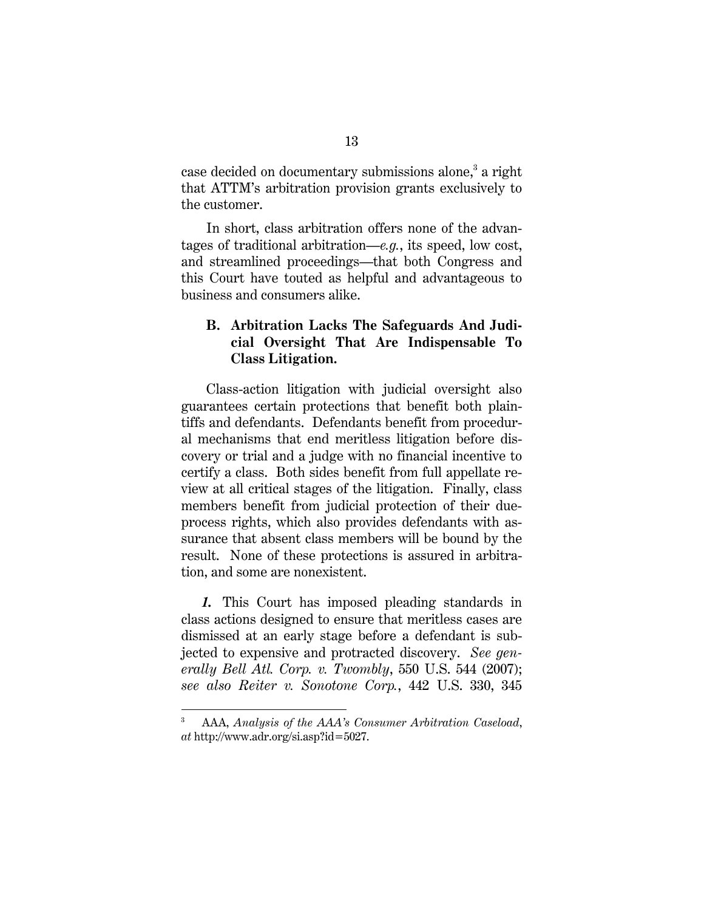case decided on documentary submissions alone,<sup>3</sup> a right that ATTM's arbitration provision grants exclusively to the customer.

In short, class arbitration offers none of the advantages of traditional arbitration—*e.g.*, its speed, low cost, and streamlined proceedings—that both Congress and this Court have touted as helpful and advantageous to business and consumers alike.

## **B. Arbitration Lacks The Safeguards And Judicial Oversight That Are Indispensable To Class Litigation.**

Class-action litigation with judicial oversight also guarantees certain protections that benefit both plaintiffs and defendants. Defendants benefit from procedural mechanisms that end meritless litigation before discovery or trial and a judge with no financial incentive to certify a class. Both sides benefit from full appellate review at all critical stages of the litigation. Finally, class members benefit from judicial protection of their dueprocess rights, which also provides defendants with assurance that absent class members will be bound by the result. None of these protections is assured in arbitration, and some are nonexistent.

*1.* This Court has imposed pleading standards in class actions designed to ensure that meritless cases are dismissed at an early stage before a defendant is subjected to expensive and protracted discovery. *See generally Bell Atl. Corp. v. Twombly*, 550 U.S. 544 (2007); *see also Reiter v. Sonotone Corp.*, 442 U.S. 330, 345

<sup>3</sup> AAA, *Analysis of the AAA's Consumer Arbitration Caseload*, *at* http://www.adr.org/si.asp?id=5027.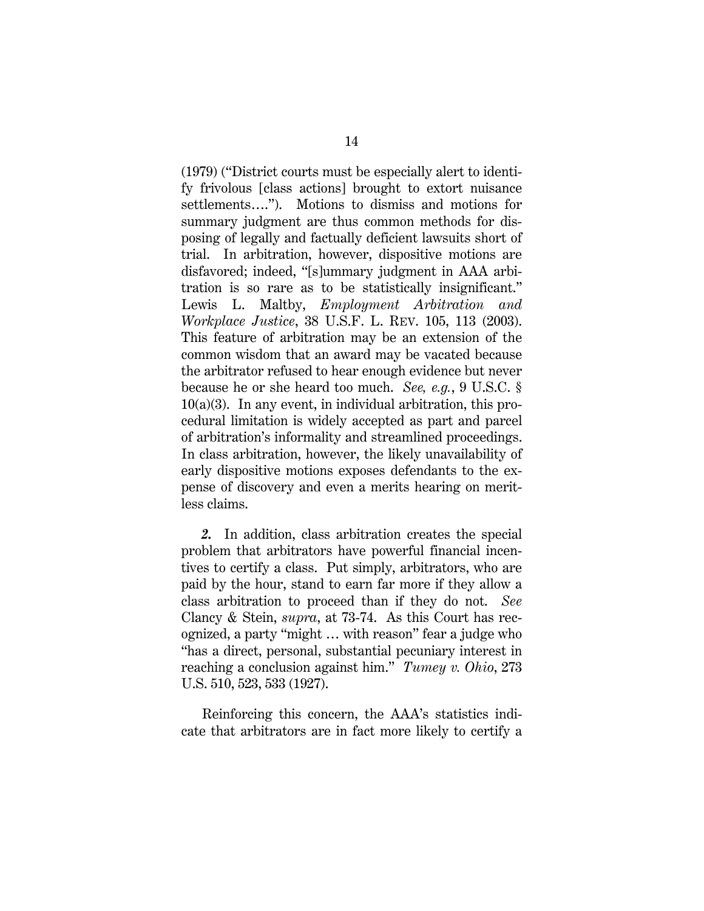(1979) ("District courts must be especially alert to identify frivolous [class actions] brought to extort nuisance settlements…."). Motions to dismiss and motions for summary judgment are thus common methods for disposing of legally and factually deficient lawsuits short of trial. In arbitration, however, dispositive motions are disfavored; indeed, "[s]ummary judgment in AAA arbitration is so rare as to be statistically insignificant." Lewis L. Maltby, *Employment Arbitration and Workplace Justice*, 38 U.S.F. L. REV. 105, 113 (2003). This feature of arbitration may be an extension of the common wisdom that an award may be vacated because the arbitrator refused to hear enough evidence but never because he or she heard too much. *See, e.g.*, 9 U.S.C. §  $10(a)(3)$ . In any event, in individual arbitration, this procedural limitation is widely accepted as part and parcel of arbitration's informality and streamlined proceedings. In class arbitration, however, the likely unavailability of early dispositive motions exposes defendants to the expense of discovery and even a merits hearing on meritless claims.

*2.* In addition, class arbitration creates the special problem that arbitrators have powerful financial incentives to certify a class. Put simply, arbitrators, who are paid by the hour, stand to earn far more if they allow a class arbitration to proceed than if they do not. *See*  Clancy & Stein, *supra*, at 73-74. As this Court has recognized, a party "might … with reason" fear a judge who "has a direct, personal, substantial pecuniary interest in reaching a conclusion against him." *Tumey v. Ohio*, 273 U.S. 510, 523, 533 (1927).

 Reinforcing this concern, the AAA's statistics indicate that arbitrators are in fact more likely to certify a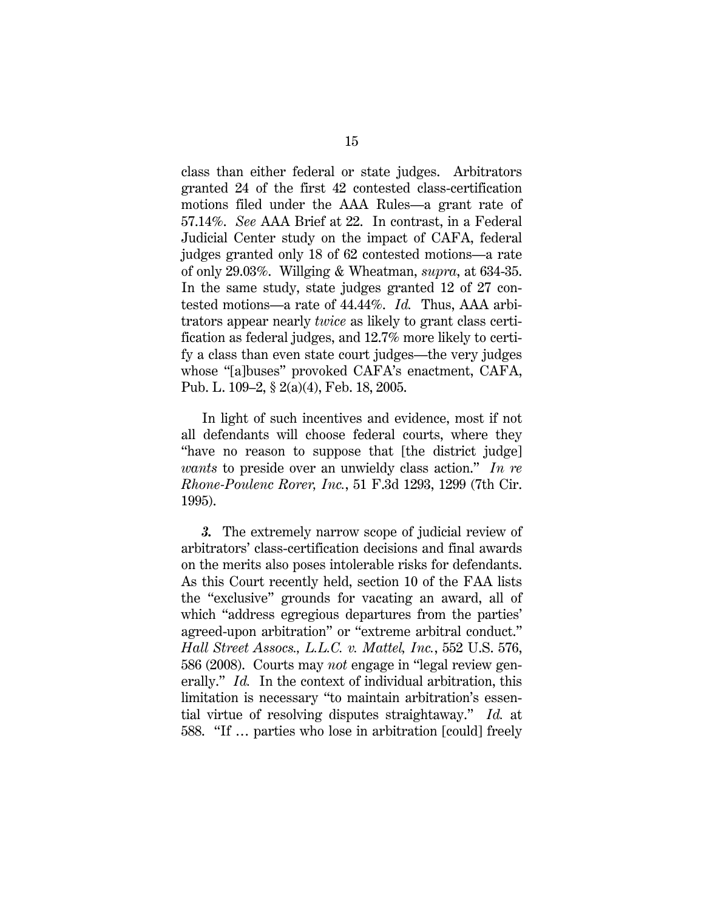class than either federal or state judges. Arbitrators granted 24 of the first 42 contested class-certification motions filed under the AAA Rules—a grant rate of 57.14%. *See* AAA Brief at 22. In contrast, in a Federal Judicial Center study on the impact of CAFA, federal judges granted only 18 of 62 contested motions—a rate of only 29.03%. Willging & Wheatman, *supra*, at 634-35. In the same study, state judges granted 12 of 27 contested motions—a rate of 44.44%. *Id.* Thus, AAA arbitrators appear nearly *twice* as likely to grant class certification as federal judges, and 12.7% more likely to certify a class than even state court judges—the very judges whose "[a]buses" provoked CAFA's enactment, CAFA, Pub. L. 109–2, § 2(a)(4), Feb. 18, 2005.

 In light of such incentives and evidence, most if not all defendants will choose federal courts, where they "have no reason to suppose that [the district judge] *wants* to preside over an unwieldy class action." *In re Rhone-Poulenc Rorer, Inc.*, 51 F.3d 1293, 1299 (7th Cir. 1995).

*3.* The extremely narrow scope of judicial review of arbitrators' class-certification decisions and final awards on the merits also poses intolerable risks for defendants. As this Court recently held, section 10 of the FAA lists the "exclusive" grounds for vacating an award, all of which "address egregious departures from the parties' agreed-upon arbitration" or "extreme arbitral conduct." *Hall Street Assocs., L.L.C. v. Mattel, Inc.*, 552 U.S. 576, 586 (2008). Courts may *not* engage in "legal review generally." *Id.* In the context of individual arbitration, this limitation is necessary "to maintain arbitration's essential virtue of resolving disputes straightaway." *Id.* at 588. "If … parties who lose in arbitration [could] freely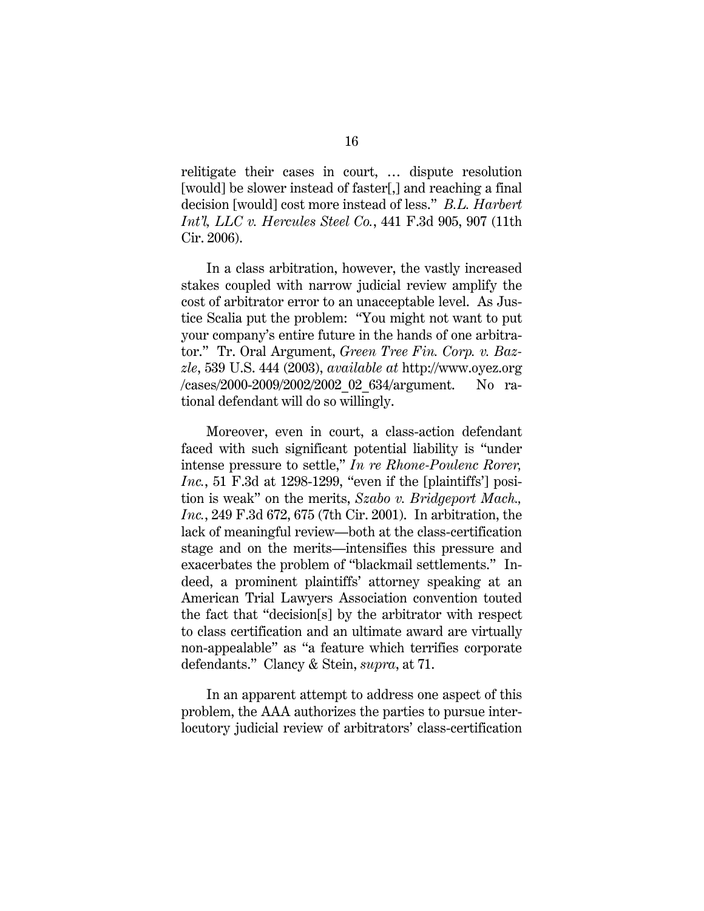relitigate their cases in court, … dispute resolution [would] be slower instead of faster[,] and reaching a final decision [would] cost more instead of less." *B.L. Harbert Int'l, LLC v. Hercules Steel Co.*, 441 F.3d 905, 907 (11th Cir. 2006).

In a class arbitration, however, the vastly increased stakes coupled with narrow judicial review amplify the cost of arbitrator error to an unacceptable level. As Justice Scalia put the problem: "You might not want to put your company's entire future in the hands of one arbitrator." Tr. Oral Argument, *Green Tree Fin. Corp. v. Bazzle*, 539 U.S. 444 (2003), *available at* http://www.oyez.org /cases/2000-2009/2002/2002\_02\_634/argument. No rational defendant will do so willingly.

Moreover, even in court, a class-action defendant faced with such significant potential liability is "under intense pressure to settle," *In re Rhone-Poulenc Rorer, Inc.*, 51 F.3d at 1298-1299, "even if the [plaintiffs'] position is weak" on the merits, *Szabo v. Bridgeport Mach., Inc.*, 249 F.3d 672, 675 (7th Cir. 2001). In arbitration, the lack of meaningful review—both at the class-certification stage and on the merits—intensifies this pressure and exacerbates the problem of "blackmail settlements." Indeed, a prominent plaintiffs' attorney speaking at an American Trial Lawyers Association convention touted the fact that "decision[s] by the arbitrator with respect to class certification and an ultimate award are virtually non-appealable" as "a feature which terrifies corporate defendants." Clancy & Stein, *supra*, at 71.

In an apparent attempt to address one aspect of this problem, the AAA authorizes the parties to pursue interlocutory judicial review of arbitrators' class-certification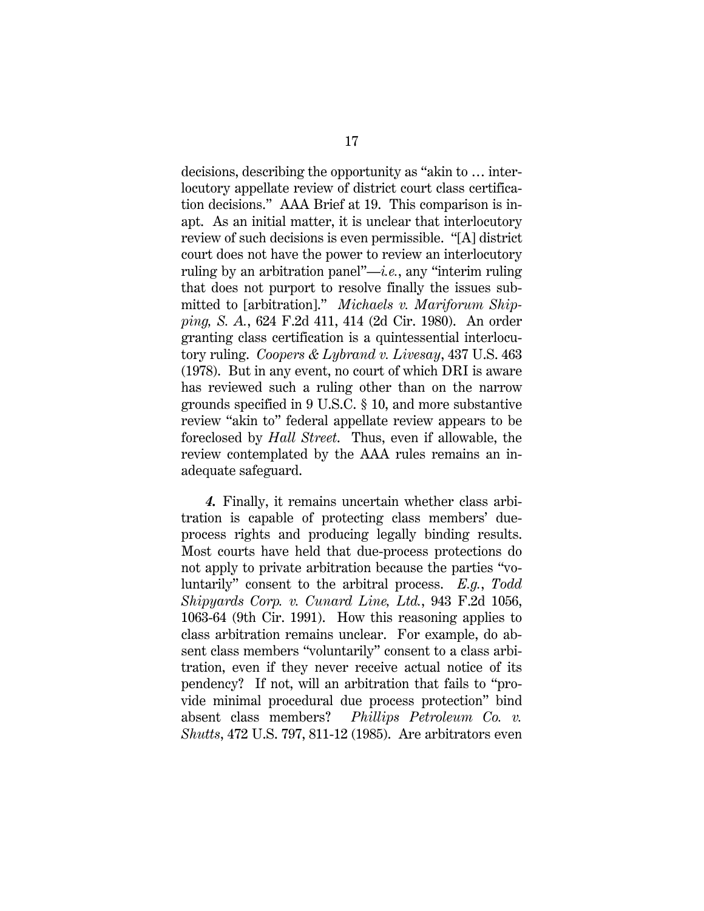decisions, describing the opportunity as "akin to … interlocutory appellate review of district court class certification decisions." AAA Brief at 19. This comparison is inapt. As an initial matter, it is unclear that interlocutory review of such decisions is even permissible. "[A] district court does not have the power to review an interlocutory ruling by an arbitration panel"—*i.e.*, any "interim ruling that does not purport to resolve finally the issues submitted to [arbitration]." *Michaels v. Mariforum Shipping, S. A.*, 624 F.2d 411, 414 (2d Cir. 1980). An order granting class certification is a quintessential interlocutory ruling. *Coopers & Lybrand v. Livesay*, 437 U.S. 463 (1978). But in any event, no court of which DRI is aware has reviewed such a ruling other than on the narrow grounds specified in 9 U.S.C. § 10, and more substantive review "akin to" federal appellate review appears to be foreclosed by *Hall Street*. Thus, even if allowable, the review contemplated by the AAA rules remains an inadequate safeguard.

*4.* Finally, it remains uncertain whether class arbitration is capable of protecting class members' dueprocess rights and producing legally binding results. Most courts have held that due-process protections do not apply to private arbitration because the parties "voluntarily" consent to the arbitral process. *E.g.*, *Todd Shipyards Corp. v. Cunard Line, Ltd.*, 943 F.2d 1056, 1063-64 (9th Cir. 1991). How this reasoning applies to class arbitration remains unclear. For example, do absent class members "voluntarily" consent to a class arbitration, even if they never receive actual notice of its pendency? If not, will an arbitration that fails to "provide minimal procedural due process protection" bind absent class members? *Phillips Petroleum Co. v. Shutts*, 472 U.S. 797, 811-12 (1985). Are arbitrators even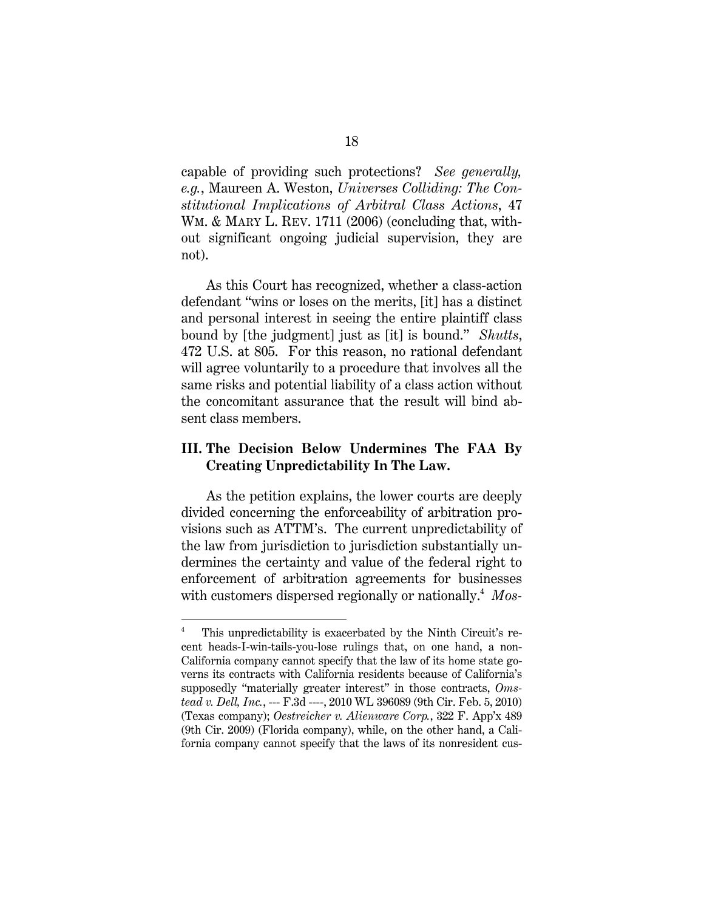capable of providing such protections? *See generally, e.g.*, Maureen A. Weston, *Universes Colliding: The Constitutional Implications of Arbitral Class Actions*, 47 WM. & MARY L. REV. 1711 (2006) (concluding that, without significant ongoing judicial supervision, they are not).

As this Court has recognized, whether a class-action defendant "wins or loses on the merits, [it] has a distinct and personal interest in seeing the entire plaintiff class bound by [the judgment] just as [it] is bound." *Shutts*, 472 U.S. at 805. For this reason, no rational defendant will agree voluntarily to a procedure that involves all the same risks and potential liability of a class action without the concomitant assurance that the result will bind absent class members.

## **III. The Decision Below Undermines The FAA By Creating Unpredictability In The Law.**

As the petition explains, the lower courts are deeply divided concerning the enforceability of arbitration provisions such as ATTM's. The current unpredictability of the law from jurisdiction to jurisdiction substantially undermines the certainty and value of the federal right to enforcement of arbitration agreements for businesses with customers dispersed regionally or nationally.4 *Mos-*

l

<sup>4</sup> This unpredictability is exacerbated by the Ninth Circuit's recent heads-I-win-tails-you-lose rulings that, on one hand, a non-California company cannot specify that the law of its home state governs its contracts with California residents because of California's supposedly "materially greater interest" in those contracts, *Omstead v. Dell, Inc.*, --- F.3d ----, 2010 WL 396089 (9th Cir. Feb. 5, 2010) (Texas company); *Oestreicher v. Alienware Corp.*, 322 F. App'x 489 (9th Cir. 2009) (Florida company), while, on the other hand, a California company cannot specify that the laws of its nonresident cus-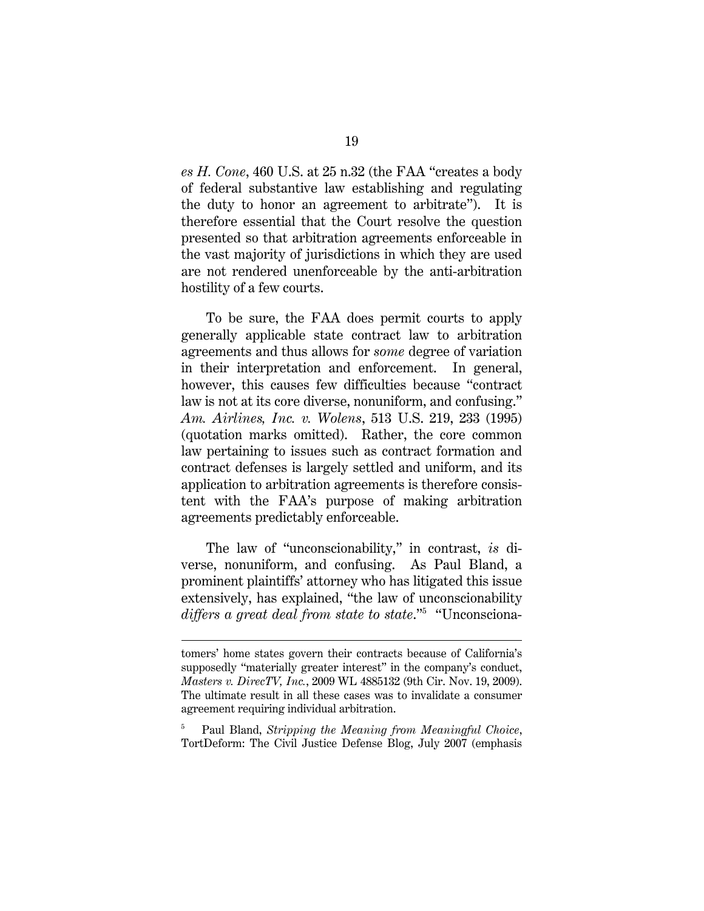*es H. Cone*, 460 U.S. at 25 n.32 (the FAA "creates a body of federal substantive law establishing and regulating the duty to honor an agreement to arbitrate"). It is therefore essential that the Court resolve the question presented so that arbitration agreements enforceable in the vast majority of jurisdictions in which they are used are not rendered unenforceable by the anti-arbitration hostility of a few courts.

To be sure, the FAA does permit courts to apply generally applicable state contract law to arbitration agreements and thus allows for *some* degree of variation in their interpretation and enforcement. In general, however, this causes few difficulties because "contract law is not at its core diverse, nonuniform, and confusing." *Am. Airlines, Inc. v. Wolens*, 513 U.S. 219, 233 (1995) (quotation marks omitted). Rather, the core common law pertaining to issues such as contract formation and contract defenses is largely settled and uniform, and its application to arbitration agreements is therefore consistent with the FAA's purpose of making arbitration agreements predictably enforceable.

The law of "unconscionability," in contrast, *is* diverse, nonuniform, and confusing. As Paul Bland, a prominent plaintiffs' attorney who has litigated this issue extensively, has explained, "the law of unconscionability *differs a great deal from state to state*."5 "Unconsciona-

l

5 Paul Bland, *Stripping the Meaning from Meaningful Choice*, TortDeform: The Civil Justice Defense Blog, July 2007 (emphasis

tomers' home states govern their contracts because of California's supposedly "materially greater interest" in the company's conduct, *Masters v. DirecTV, Inc.*, 2009 WL 4885132 (9th Cir. Nov. 19, 2009). The ultimate result in all these cases was to invalidate a consumer agreement requiring individual arbitration.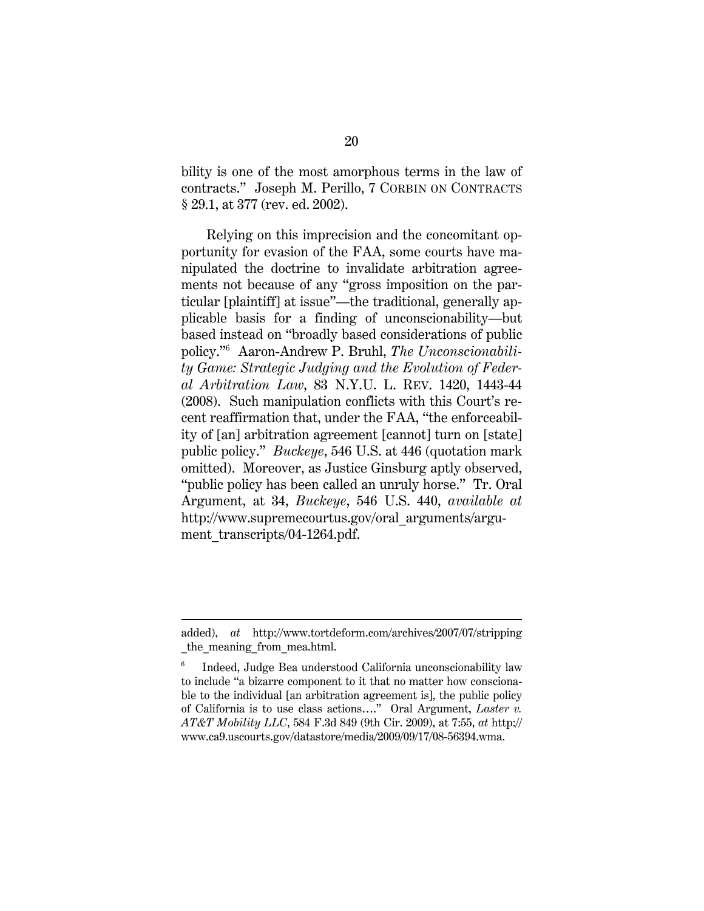bility is one of the most amorphous terms in the law of contracts." Joseph M. Perillo, 7 CORBIN ON CONTRACTS § 29.1, at 377 (rev. ed. 2002).

Relying on this imprecision and the concomitant opportunity for evasion of the FAA, some courts have manipulated the doctrine to invalidate arbitration agreements not because of any "gross imposition on the particular [plaintiff] at issue"—the traditional, generally applicable basis for a finding of unconscionability—but based instead on "broadly based considerations of public policy."6 Aaron-Andrew P. Bruhl, *The Unconscionability Game: Strategic Judging and the Evolution of Federal Arbitration Law*, 83 N.Y.U. L. REV. 1420, 1443-44 (2008). Such manipulation conflicts with this Court's recent reaffirmation that, under the FAA, "the enforceability of [an] arbitration agreement [cannot] turn on [state] public policy." *Buckeye*, 546 U.S. at 446 (quotation mark omitted). Moreover, as Justice Ginsburg aptly observed, "public policy has been called an unruly horse." Tr. Oral Argument, at 34, *Buckeye*, 546 U.S. 440, *available at* http://www.supremecourtus.gov/oral\_arguments/argument\_transcripts/04-1264.pdf.

l

added), *at* http://www.tortdeform.com/archives/2007/07/stripping the meaning from mea.html.

<sup>6</sup> Indeed, Judge Bea understood California unconscionability law to include "a bizarre component to it that no matter how conscionable to the individual [an arbitration agreement is], the public policy of California is to use class actions…." Oral Argument, *Laster v. AT&T Mobility LLC*, 584 F.3d 849 (9th Cir. 2009), at 7:55, *at* http:// www.ca9.uscourts.gov/datastore/media/2009/09/17/08-56394.wma.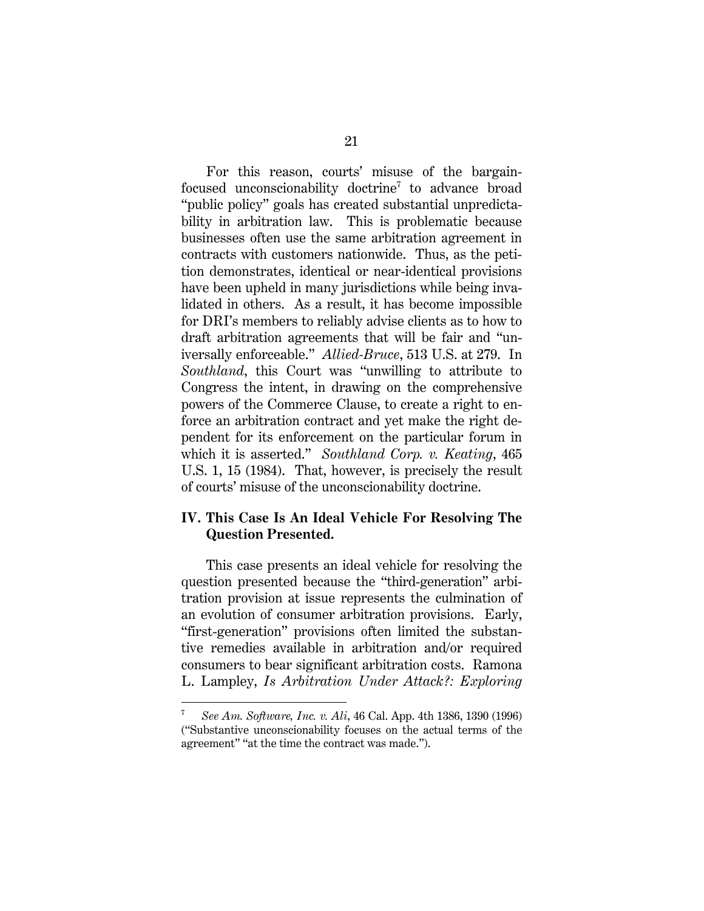For this reason, courts' misuse of the bargainfocused unconscionability doctrine<sup>7</sup> to advance broad "public policy" goals has created substantial unpredictability in arbitration law. This is problematic because businesses often use the same arbitration agreement in contracts with customers nationwide. Thus, as the petition demonstrates, identical or near-identical provisions have been upheld in many jurisdictions while being invalidated in others. As a result, it has become impossible for DRI's members to reliably advise clients as to how to draft arbitration agreements that will be fair and "universally enforceable." *Allied-Bruce*, 513 U.S. at 279. In *Southland*, this Court was "unwilling to attribute to Congress the intent, in drawing on the comprehensive powers of the Commerce Clause, to create a right to enforce an arbitration contract and yet make the right dependent for its enforcement on the particular forum in which it is asserted." *Southland Corp. v. Keating*, 465 U.S. 1, 15 (1984). That, however, is precisely the result of courts' misuse of the unconscionability doctrine.

### **IV. This Case Is An Ideal Vehicle For Resolving The Question Presented.**

This case presents an ideal vehicle for resolving the question presented because the "third-generation" arbitration provision at issue represents the culmination of an evolution of consumer arbitration provisions. Early, "first-generation" provisions often limited the substantive remedies available in arbitration and/or required consumers to bear significant arbitration costs. Ramona L. Lampley, *Is Arbitration Under Attack?: Exploring* 

<sup>7</sup> *See Am. Software, Inc. v. Ali*, 46 Cal. App. 4th 1386, 1390 (1996) ("Substantive unconscionability focuses on the actual terms of the agreement" "at the time the contract was made.").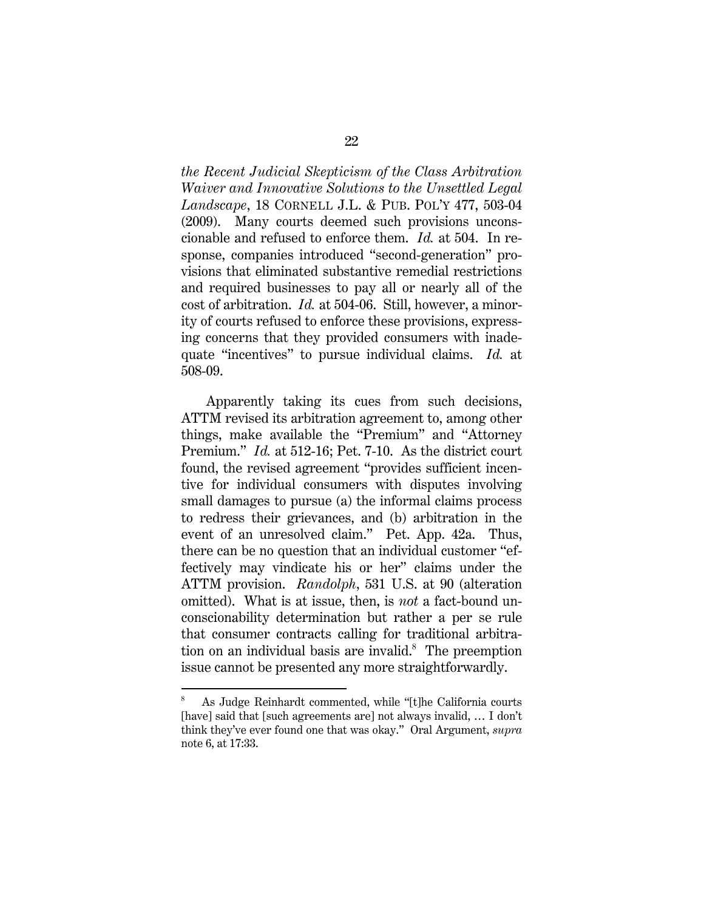*the Recent Judicial Skepticism of the Class Arbitration Waiver and Innovative Solutions to the Unsettled Legal Landscape*, 18 CORNELL J.L. & PUB. POL'Y 477, 503-04 (2009). Many courts deemed such provisions unconscionable and refused to enforce them. *Id.* at 504. In response, companies introduced "second-generation" provisions that eliminated substantive remedial restrictions and required businesses to pay all or nearly all of the cost of arbitration. *Id.* at 504-06. Still, however, a minority of courts refused to enforce these provisions, expressing concerns that they provided consumers with inadequate "incentives" to pursue individual claims. *Id.* at 508-09.

Apparently taking its cues from such decisions, ATTM revised its arbitration agreement to, among other things, make available the "Premium" and "Attorney Premium." *Id.* at 512-16; Pet. 7-10. As the district court found, the revised agreement "provides sufficient incentive for individual consumers with disputes involving small damages to pursue (a) the informal claims process to redress their grievances, and (b) arbitration in the event of an unresolved claim." Pet. App. 42a. Thus, there can be no question that an individual customer "effectively may vindicate his or her" claims under the ATTM provision. *Randolph*, 531 U.S. at 90 (alteration omitted). What is at issue, then, is *not* a fact-bound unconscionability determination but rather a per se rule that consumer contracts calling for traditional arbitration on an individual basis are invalid. $s$  The preemption issue cannot be presented any more straightforwardly.

<sup>8</sup> As Judge Reinhardt commented, while "[t]he California courts [have] said that [such agreements are] not always invalid, ... I don't think they've ever found one that was okay." Oral Argument, *supra* note 6, at 17:33.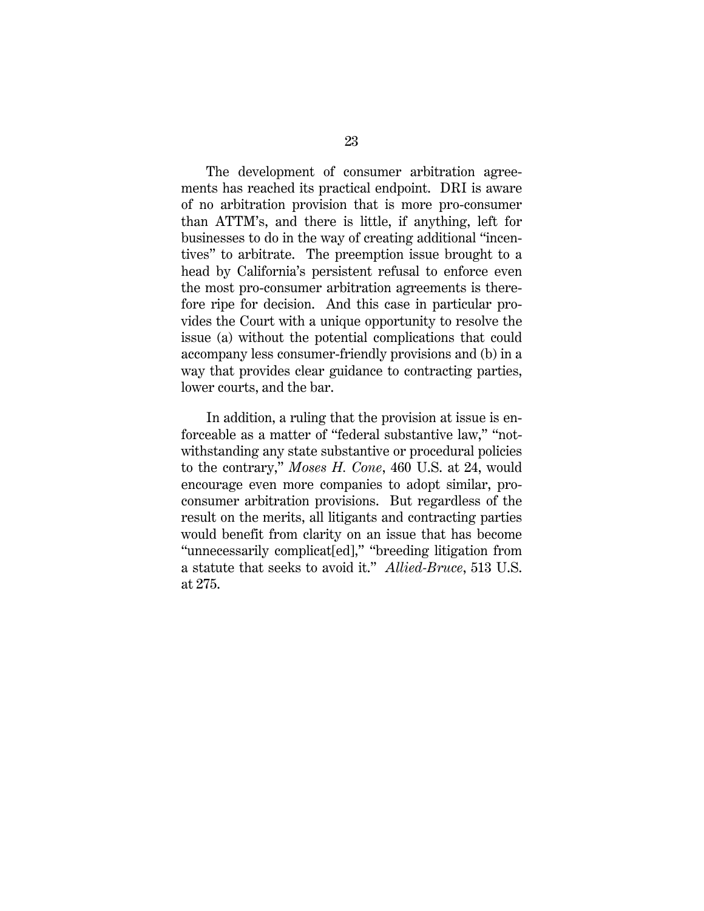The development of consumer arbitration agreements has reached its practical endpoint. DRI is aware of no arbitration provision that is more pro-consumer than ATTM's, and there is little, if anything, left for businesses to do in the way of creating additional "incentives" to arbitrate. The preemption issue brought to a head by California's persistent refusal to enforce even the most pro-consumer arbitration agreements is therefore ripe for decision. And this case in particular provides the Court with a unique opportunity to resolve the issue (a) without the potential complications that could accompany less consumer-friendly provisions and (b) in a way that provides clear guidance to contracting parties, lower courts, and the bar.

In addition, a ruling that the provision at issue is enforceable as a matter of "federal substantive law," "notwithstanding any state substantive or procedural policies to the contrary," *Moses H. Cone*, 460 U.S. at 24, would encourage even more companies to adopt similar, proconsumer arbitration provisions. But regardless of the result on the merits, all litigants and contracting parties would benefit from clarity on an issue that has become "unnecessarily complicat[ed]," "breeding litigation from a statute that seeks to avoid it." *Allied-Bruce*, 513 U.S. at 275.